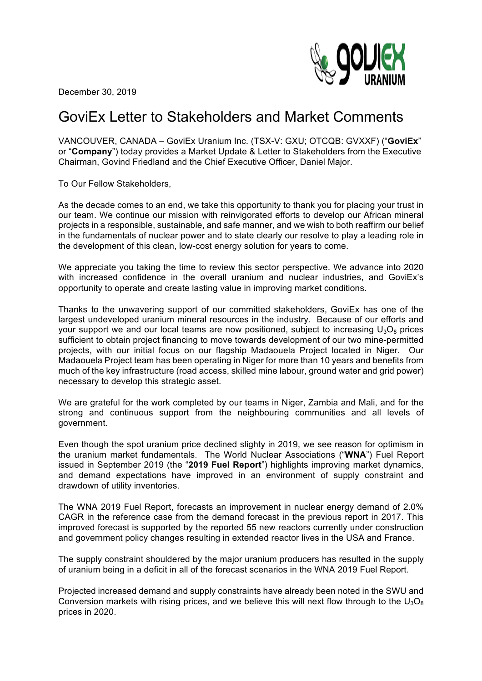

December 30, 2019

# GoviEx Letter to Stakeholders and Market Comments

VANCOUVER, CANADA – GoviEx Uranium Inc. (TSX-V: GXU; OTCQB: GVXXF) ("**GoviEx**" or "**Company**") today provides a Market Update & Letter to Stakeholders from the Executive Chairman, Govind Friedland and the Chief Executive Officer, Daniel Major.

To Our Fellow Stakeholders,

As the decade comes to an end, we take this opportunity to thank you for placing your trust in our team. We continue our mission with reinvigorated efforts to develop our African mineral projects in a responsible, sustainable, and safe manner, and we wish to both reaffirm our belief in the fundamentals of nuclear power and to state clearly our resolve to play a leading role in the development of this clean, low-cost energy solution for years to come.

We appreciate you taking the time to review this sector perspective. We advance into 2020 with increased confidence in the overall uranium and nuclear industries, and GoviEx's opportunity to operate and create lasting value in improving market conditions.

Thanks to the unwavering support of our committed stakeholders, GoviEx has one of the largest undeveloped uranium mineral resources in the industry. Because of our efforts and your support we and our local teams are now positioned, subject to increasing  $U_3O_8$  prices sufficient to obtain project financing to move towards development of our two mine-permitted projects, with our initial focus on our flagship Madaouela Project located in Niger. Our Madaouela Project team has been operating in Niger for more than 10 years and benefits from much of the key infrastructure (road access, skilled mine labour, ground water and grid power) necessary to develop this strategic asset.

We are grateful for the work completed by our teams in Niger, Zambia and Mali, and for the strong and continuous support from the neighbouring communities and all levels of government.

Even though the spot uranium price declined slighty in 2019, we see reason for optimism in the uranium market fundamentals. The World Nuclear Associations ("**WNA**") Fuel Report issued in September 2019 (the "**2019 Fuel Report**") highlights improving market dynamics, and demand expectations have improved in an environment of supply constraint and drawdown of utility inventories.

The WNA 2019 Fuel Report, forecasts an improvement in nuclear energy demand of 2.0% CAGR in the reference case from the demand forecast in the previous report in 2017. This improved forecast is supported by the reported 55 new reactors currently under construction and government policy changes resulting in extended reactor lives in the USA and France.

The supply constraint shouldered by the major uranium producers has resulted in the supply of uranium being in a deficit in all of the forecast scenarios in the WNA 2019 Fuel Report.

Projected increased demand and supply constraints have already been noted in the SWU and Conversion markets with rising prices, and we believe this will next flow through to the  $U_3O_8$ prices in 2020.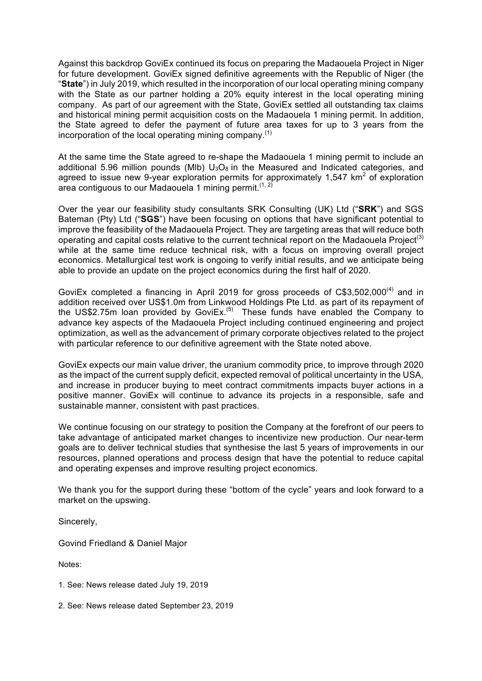Against this backdrop GoviEx continued its focus on preparing the Madaouela Project in Niger for future development. GoviEx signed definitive agreements with the Republic of Niger (the "**State**") in July 2019, which resulted in the incorporation of our local operating mining company with the State as our partner holding a 20% equity interest in the local operating mining company. As part of our agreement with the State, GoviEx settled all outstanding tax claims and historical mining permit acquisition costs on the Madaouela 1 mining permit. In addition, the State agreed to defer the payment of future area taxes for up to 3 years from the incorporation of the local operating mining company.<sup>(1)</sup>

At the same time the State agreed to re-shape the Madaouela 1 mining permit to include an additional 5.96 million pounds (MIb)  $U_3O_8$  in the Measured and Indicated categories, and agreed to issue new 9-year exploration permits for approximately 1,547  $km^2$  of exploration area contiguous to our Madaouela 1 mining permit.  $(1, 2)$ 

Over the year our feasibility study consultants SRK Consulting (UK) Ltd ("**SRK**") and SGS Bateman (Pty) Ltd ("**SGS**") have been focusing on options that have significant potential to improve the feasibility of the Madaouela Project. They are targeting areas that will reduce both operating and capital costs relative to the current technical report on the Madaouela Project<sup>(3)</sup> while at the same time reduce technical risk, with a focus on improving overall project economics. Metallurgical test work is ongoing to verify initial results, and we anticipate being able to provide an update on the project economics during the first half of 2020.

GoviEx completed a financing in April 2019 for gross proceeds of C\$3,502,000<sup>(4)</sup> and in addition received over US\$1.0m from Linkwood Holdings Pte Ltd. as part of its repayment of the US\$2.75m loan provided by GoviEx.<sup> $(5)$ </sup> These funds have enabled the Company to advance key aspects of the Madaouela Project including continued engineering and project optimization, as well as the advancement of primary corporate objectives related to the project with particular reference to our definitive agreement with the State noted above.

GoviEx expects our main value driver, the uranium commodity price, to improve through 2020 as the impact of the current supply deficit, expected removal of political uncertainty in the USA, and increase in producer buying to meet contract commitments impacts buyer actions in a positive manner. GoviEx will continue to advance its projects in a responsible, safe and sustainable manner, consistent with past practices.

We continue focusing on our strategy to position the Company at the forefront of our peers to take advantage of anticipated market changes to incentivize new production. Our near-term goals are to deliver technical studies that synthesise the last 5 years of improvements in our resources, planned operations and process design that have the potential to reduce capital and operating expenses and improve resulting project economics.

We thank you for the support during these "bottom of the cycle" years and look forward to a market on the upswing.

Sincerely,

Govind Friedland & Daniel Major

Notes:

- 1. See: News release dated July 19, 2019
- 2. See: News release dated September 23, 2019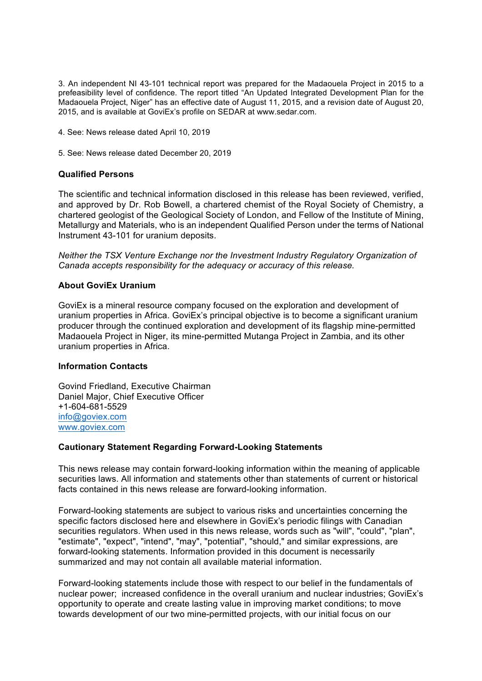3. An independent NI 43-101 technical report was prepared for the Madaouela Project in 2015 to a prefeasibility level of confidence. The report titled "An Updated Integrated Development Plan for the Madaouela Project, Niger" has an effective date of August 11, 2015, and a revision date of August 20, 2015, and is available at GoviEx's profile on SEDAR at www.sedar.com.

- 4. See: News release dated April 10, 2019
- 5. See: News release dated December 20, 2019

## **Qualified Persons**

The scientific and technical information disclosed in this release has been reviewed, verified, and approved by Dr. Rob Bowell, a chartered chemist of the Royal Society of Chemistry, a chartered geologist of the Geological Society of London, and Fellow of the Institute of Mining, Metallurgy and Materials, who is an independent Qualified Person under the terms of National Instrument 43-101 for uranium deposits.

*Neither the TSX Venture Exchange nor the Investment Industry Regulatory Organization of Canada accepts responsibility for the adequacy or accuracy of this release.*

## **About GoviEx Uranium**

GoviEx is a mineral resource company focused on the exploration and development of uranium properties in Africa. GoviEx's principal objective is to become a significant uranium producer through the continued exploration and development of its flagship mine-permitted Madaouela Project in Niger, its mine-permitted Mutanga Project in Zambia, and its other uranium properties in Africa.

### **Information Contacts**

Govind Friedland, Executive Chairman Daniel Major, Chief Executive Officer +1-604-681-5529 info@goviex.com www.goviex.com

### **Cautionary Statement Regarding Forward-Looking Statements**

This news release may contain forward-looking information within the meaning of applicable securities laws. All information and statements other than statements of current or historical facts contained in this news release are forward-looking information.

Forward-looking statements are subject to various risks and uncertainties concerning the specific factors disclosed here and elsewhere in GoviEx's periodic filings with Canadian securities regulators. When used in this news release, words such as "will", "could", "plan", "estimate", "expect", "intend", "may", "potential", "should," and similar expressions, are forward-looking statements. Information provided in this document is necessarily summarized and may not contain all available material information.

Forward-looking statements include those with respect to our belief in the fundamentals of nuclear power; increased confidence in the overall uranium and nuclear industries; GoviEx's opportunity to operate and create lasting value in improving market conditions; to move towards development of our two mine-permitted projects, with our initial focus on our